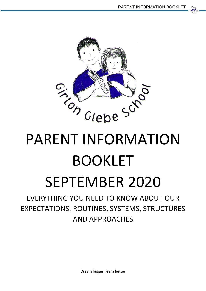

# BOOKLET SEPTEMBER 2020

EVERYTHING YOU NEED TO KNOW ABOUT OUR EXPECTATIONS, ROUTINES, SYSTEMS, STRUCTURES AND APPROACHES

Dream bigger, learn better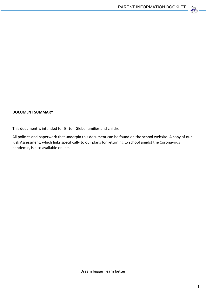

#### **DOCUMENT SUMMARY**

This document is intended for Girton Glebe families and children.

All policies and paperwork that underpin this document can be found on the school website. A copy of our Risk Assessment, which links specifically to our plans for returning to school amidst the Coronavirus pandemic, is also available online.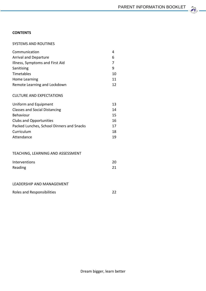$22$ 

#### **CONTENTS**

#### SYSTEMS AND ROUTINES

| Communication<br><b>Arrival and Departure</b><br>Illness, Symptoms and First Aid<br>Sanitising<br>Timetables<br>Home Learning                                                         | 4<br>6<br>7<br>9<br>10<br>11           |
|---------------------------------------------------------------------------------------------------------------------------------------------------------------------------------------|----------------------------------------|
| Remote Learning and Lockdown                                                                                                                                                          | 12                                     |
| <b>CULTURE AND EXPECTATIONS</b>                                                                                                                                                       |                                        |
| Uniform and Equipment<br><b>Classes and Social Distancing</b><br>Behaviour<br><b>Clubs and Opportunities</b><br>Packed Lunches, School Dinners and Snacks<br>Curriculum<br>Attendance | 13<br>14<br>15<br>16<br>17<br>18<br>19 |
| TEACHING, LEARNING AND ASSESSMENT                                                                                                                                                     |                                        |
| Interventions<br>Reading                                                                                                                                                              | 20<br>21                               |
| LEADERSHIP AND MANAGEMENT                                                                                                                                                             |                                        |
| Roles and Responsibilities                                                                                                                                                            | 22                                     |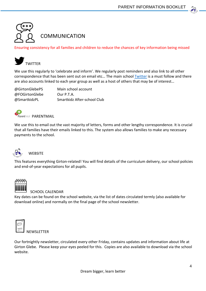

Ensuring consistency for all families and children to reduce the chances of key information being missed



We use this regularly to 'celebrate and inform'. We regularly post reminders and also link to all other correspondence that has been sent out on email etc… The main school [Twitter](https://twitter.com/stukeleymeadows?lang=en) is a must follow and there are also accounts linked to each year group as well as a host of others that may be of interest…

@FOGirtonGlebe Our P.T.A.

@GirtonGlebePS Main school account @SmartkidzPL Smartkidz After-school Club



We use this to email out the vast majority of letters, forms and other lengthy correspondence. It is crucial that all families have their emails linked to this. The system also allows families to make any necessary payments to the school.



#### **WEBSITE**

This features everything Girton-related! You will find details of the curriculum delivery, our school policies and end-of-year expectations for all pupils.



#### SCHOOL CALENDAR

Key dates can be found on the school website, via the list of dates circulated termly (also available for download online) and normally on the final page of the school newsletter.



**FWSI FTTFR** 

Our fortnightly newsletter, circulated every other Friday, contains updates and information about life at Girton Glebe. Please keep your eyes peeled for this. Copies are also available to download via the school website.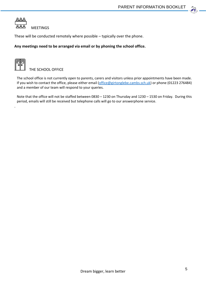

These will be conducted remotely where possible – typically over the phone.

#### **Any meetings need to be arranged via email or by phoning the school office.**



.

THE SCHOOL OFFICE

The school office is not currently open to parents, carers and visitors unless prior appointments have been made. If you wish to contact the office, please either email [\(office@girtonglebe.cambs.sch.uk\)](mailto:office@girtonglebe.cambs.sch.uk) or phone (01223 276484) and a member of our team will respond to your queries.

Note that the office will not be staffed between 0830 – 1230 on Thursday and 1230 – 1530 on Friday. During this period, emails will still be received but telephone calls will go to our answerphone service.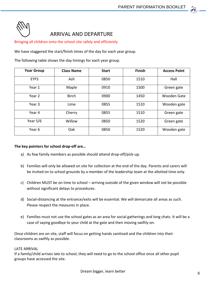

#### ARRIVAL AND DEPARTURE

Bringing all children onto the school site safely and efficiently

We have staggered the start/finish times of the day for each year group.

The following table shows the day timings for each year group.

| <b>Year Group</b> | <b>Class Name</b> | <b>Start</b> | <b>Finish</b> | <b>Access Point</b> |
|-------------------|-------------------|--------------|---------------|---------------------|
| <b>EYFS</b>       | Ash               | 0850         | 1510          | Hall                |
| Year 1            | Maple             | 0910         | 1500          | Green gate          |
| Year 2            | <b>Birch</b>      | 0900         | 1450          | Wooden Gate         |
| Year 3            | Lime              | 0855         | 1510          | Wooden gate         |
| Year 4            | Cherry            | 0855         | 1510          | Green gate          |
| Year $5/6$        | Willow            | 0850         | 1520          | Green gate          |
| Year 6            | Oak               | 0850         | 1520          | Wooden gate         |

#### **The key pointers for school drop-off are…**

- a) As few family members as possible should attend drop-off/pick-up.
- b) Families will only be allowed on site for collection at the end of the day. Parents and carers will be invited on to school grounds by a member of the leadership team at the allotted time only.
- c) Children MUST be on time to school arriving outside of the given window will not be possible without significant delays to procedures.
- d) Social-distancing at the entrance/exits will be essential. We will demarcate all areas as such. Please respect the measures in place.
- e) Families must not use the school gates as an area for social gatherings and long chats. It will be a case of saying goodbye to your child at the gate and then moving swiftly on.

Once children are on site, staff will focus on getting hands sanitised and the children into their classrooms as swiftly as possible.

#### LATE ARRIVAL

If a family/child arrives late to school, they will need to go to the school office once all other pupil groups have accessed the site.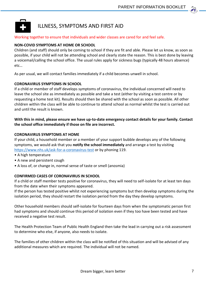

#### ILLNESS, SYMPTOMS AND FIRST AID

#### Working together to ensure that individuals and wider classes are cared for and feel safe.

#### **NON-COVID SYMPTOMS AT HOME OR SCHOOL**

Children (and staff) should only be coming to school if they are fit and able. Please let us know, as soon as possible, if your child will not be attending school and clearly state the reason. This is best done by leaving a voicemail/calling the school office. The usual rules apply for sickness bugs (typically 48 hours absence) etc…

As per usual, we will contact families immediately if a child becomes unwell in school.

#### **CORONAVIRUS SYMPTOMS IN SCHOOL**

If a child or member of staff develops symptoms of coronavirus, the individual concerned will need to leave the school site as immediately as possible and take a test (either by visiting a test centre or by requesting a home test kit). Results should then be shared with the school as soon as possible. All other children within the class will be able to continue to attend school as normal whilst the test is carried out and until the result is known.

#### **With this in mind, please ensure we have up-to-date emergency contact details for your family. Contact the school office immediately if those on file are incorrect.**

#### **CORONAVIRUS SYMPTOMS AT HOME**

If your child, a household member or a member of your support bubble develops any of the following symptoms, we would ask that you **notify the school immediately** and arrange a test by visiting <https://www.nhs.uk/ask-for-a-coronavirus-test> or by phoning 119.

- A high temperature
- A new and persistent cough
- A loss of, or change in, normal sense of taste or smell (anosmia)

#### **CONFIRMED CASES OF CORONAVIRUS IN SCHOOL**

If a child or staff member tests positive for coronavirus, they will need to self-isolate for at least ten days from the date when their symptoms appeared.

If the person has tested positive whilst not experiencing symptoms but then develop symptoms during the isolation period, they should restart the isolation period from the day they develop symptoms.

Other household members should self-isolate for fourteen days from when the symptomatic person first had symptoms and should continue this period of isolation even if they too have been tested and have received a negative test result.

The Health Protection Team of Public Health England then take the lead in carrying out a risk assessment to determine who else, if anyone, also needs to isolate.

The families of other children within the class will be notified of this situation and will be advised of any additional measures which are required. The individual will not be named.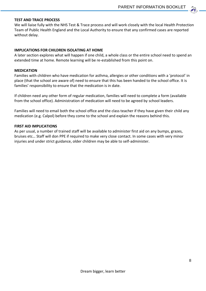#### **TEST AND TRACE PROCESS**

We will liaise fully with the NHS Test & Trace process and will work closely with the local Health Protection Team of Public Health England and the Local Authority to ensure that any confirmed cases are reported without delay.

#### **IMPLICATIONS FOR CHILDREN ISOLATING AT HOME**

A later section explores what will happen if one child, a whole class or the entire school need to spend an extended time at home. Remote learning will be re-established from this point on.

#### **MEDICATION**

Families with children who have medication for asthma, allergies or other conditions with a 'protocol' in place (that the school are aware of) need to ensure that this has been handed to the school office. It is families' responsibility to ensure that the medication is in date.

If children need any other form of regular medication, families will need to complete a form (available from the school office). Administration of medication will need to be agreed by school leaders.

Families will need to email both the school office and the class teacher if they have given their child any medication (e.g. Calpol) before they come to the school and explain the reasons behind this.

#### **FIRST AID IMPLICATIONS**

As per usual, a number of trained staff will be available to administer first aid on any bumps, grazes, bruises etc… Staff will don PPE if required to make very close contact. In some cases with very minor injuries and under strict guidance, older children may be able to self-administer.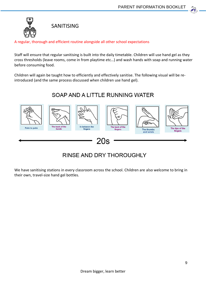

SANITISING

A regular, thorough and efficient routine alongside all other school expectations

Staff will ensure that regular sanitising is built into the daily timetable. Children will use hand gel as they cross thresholds (leave rooms, come in from playtime etc…) and wash hands with soap and running water before consuming food.

Children will again be taught how to efficiently and effectively sanitise. The following visual will be reintroduced (and the same process discussed when children use hand gel).

### SOAP AND A LITTLE RUNNING WATER



## **RINSE AND DRY THOROUGHLY**

We have sanitising stations in every classroom across the school. Children are also welcome to bring in their own, travel-size hand gel bottles.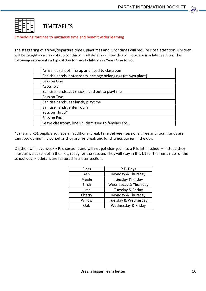

Embedding routines to maximise time and benefit wider learning

The staggering of arrival/departure times, playtimes and lunchtimes will require close attention. Children will be taught as a class of (up to) thirty – full details on how this will look are in a later section. The following represents a typical day for most children in Years One to Six.

| Arrival at school, line up and head to classroom              |
|---------------------------------------------------------------|
| Sanitise hands, enter room, arrange belongings (at own place) |
| Session One                                                   |
| Assembly                                                      |
| Sanitise hands, eat snack, head out to playtime               |
| Session Two                                                   |
| Sanitise hands, eat lunch, playtime                           |
| Sanitise hands, enter room                                    |
| Session Three*                                                |
| <b>Session Four</b>                                           |
| Leave classroom, line up, dismissed to families etc           |

\*EYFS and KS1 pupils also have an additional break time between sessions three and four. Hands are sanitised during this period as they are for break and lunchtimes earlier in the day.

Children will have weekly P.E. sessions and will not get changed into a P.E. kit in school – instead they must arrive at school in their kit, ready for the session. They will stay in this kit for the remainder of the school day. Kit details are featured in a later section.

| <b>Class</b> | P.E. Days            |
|--------------|----------------------|
| Ash          | Monday & Thursday    |
| Maple        | Tuesday & Friday     |
| <b>Birch</b> | Wednesday & Thursday |
| Lime         | Tuesday & Friday     |
| Cherry       | Monday & Thursday    |
| Willow       | Tuesday & Wednesday  |
| Nak          | Wednesday & Friday   |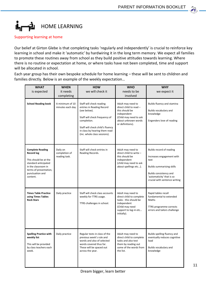#### Ĺг HOME LEARNING

Supporting learning at home

Our belief at Girton Glebe is that completing tasks 'regularly and independently' is crucial to reinforce key learning in school and make it 'automatic' by hardwiring it in the long term memory. We expect all families to promote these routines away from school as they build positive attitudes towards learning. Where there is no routine or expectation at home, or where tasks have not been completed, time and support will be allocated in school.

Each year group has their own bespoke schedule for home learning – these will be sent to children and families directly. Below is an example of the weekly expectation…

| <b>WHAT</b>                                                                                                                                                                   | <b>WHEN</b>                                | <b>HOW</b>                                                                                                                                                                                                                 | <b>WHO</b>                                                                                                                                        | <b>WHY</b>                                                                                                                                                                                |
|-------------------------------------------------------------------------------------------------------------------------------------------------------------------------------|--------------------------------------------|----------------------------------------------------------------------------------------------------------------------------------------------------------------------------------------------------------------------------|---------------------------------------------------------------------------------------------------------------------------------------------------|-------------------------------------------------------------------------------------------------------------------------------------------------------------------------------------------|
| is expected                                                                                                                                                                   | it needs<br>completing                     | we will check it                                                                                                                                                                                                           | needs to be<br>involved                                                                                                                           | we expect it                                                                                                                                                                              |
| <b>School Reading book</b>                                                                                                                                                    | A minimum of 10<br>minutes each day        | Staff will check reading<br>entries in Reading Record<br>(see below).<br>Staff will check frequency of<br>completion.<br>Staff will check child's fluency<br>in class by hearing them read<br>(inc. whole class sessions). | Adult may need to<br>direct child to read -<br>this should be<br>independent<br>(Child may need to ask<br>about unknown words<br>or definitions). | Builds fluency and stamina<br>Builds vocabulary and<br>knowledge<br>Engenders love of reading                                                                                             |
| <b>Complete Reading</b><br><b>Record log</b><br>This should be at the<br>standard anticipated<br>in the classroom in<br>terms of presentation,<br>punctuation and<br>content. | Daily on<br>completion of<br>reading task. | Staff will check entries in<br>Reading Records.                                                                                                                                                                            | Adult may need to<br>direct child to write -<br>this should be<br>independent<br>(child may need to ask<br>about spellings etc).                  | Builds record of reading<br>Increases engagement with<br>text<br><b>Builds summarising skills</b><br>Builds consistency and<br>'automaticity' that is so<br>crucial with sentence writing |
| <b>Times Table Practice</b><br>using Times Tables<br><b>Rock Stars</b>                                                                                                        | Daily practice                             | Staff will check class accounts<br>weekly for TTRS usage.<br>TTRS challenges in school.                                                                                                                                    | Adult may need to<br>direct child to complete<br>tasks - this should be<br>independent<br>(Child may need<br>support to log-in etc<br>initially). | Rapid tables recall<br>fundamental to extended<br>Maths<br>TTRS programme corrects<br>errors and tailors challenge                                                                        |
| <b>Spelling Practice with</b><br>weekly list<br>This will be provided<br>by class teachers each<br>week.                                                                      | Daily practice                             | Regular tests in class of the<br>previous week's rule and<br>words and also of selected<br>words covered thus far.<br>These will be spaced out<br>across the year.                                                         | Adult may need to<br>direct child to complete<br>tasks and also test<br>them by reading out<br>some of the words from<br>the list.                | Builds spelling fluency and<br>eventually reduces cognitive<br>load<br>Builds vocabulary and<br>knowledge                                                                                 |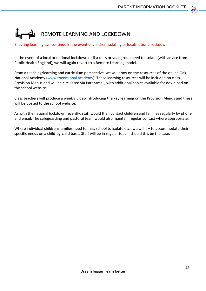# REMOTE LEARNING AND LOCKDOWN

#### Ensuring learning can continue in the event of children isolating or local/national lockdown

In the event of a local or national lockdown or if a class or year group need to isolate (with advice from Public Health England), we will again revert to a Remote Learning model.

From a teaching/learning and curriculum perspective, we will draw on the resources of the online Oak National Academy [\(www.thenational.academy\)](http://www.thenational.academy/). These learning resources will be included on class Provision Menus and will be circulated via Parentmail, with additional copies available for download on the school website.

Class teachers will produce a weekly video introducing the key learning on the Provision Menus and these will be posted to the school website.

As with the national lockdown recently, staff would then contact children and families regularly by phone and email. The safeguarding and pastoral team would also maintain regular contact where appropriate.

Where individual children/families need to miss school to isolate etc., we will try to accommodate their specific needs on a child-by-child basis. Staff will be in regular touch, should this be the case.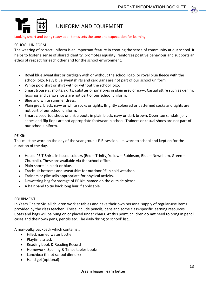

#### UNIFORM AND EQUIPMENT

#### Looking smart and being ready at all times sets the tone and expectation for learning

#### SCHOOL UNIFORM

The wearing of correct uniform is an important feature in creating the sense of community at our school. It helps to foster a sense of shared identity, promotes equality, reinforces positive behaviour and supports an ethos of respect for each other and for the school environment.

- Royal blue sweatshirt or cardigan with or without the school logo, or royal blue fleece with the school logo. Navy blue sweatshirts and cardigans are not part of our school uniform.
- White polo shirt or shirt with or without the school logo.
- Smart trousers, shorts, skirts, culottes or pinafores in plain grey or navy. Casual attire such as denim, leggings and cargo shorts are not part of our school uniform.
- Blue and white summer dress.
- Plain grey, black, navy or white socks or tights. Brightly coloured or patterned socks and tights are not part of our school uniform.
- Smart closed-toe shoes or ankle boots in plain black, navy or dark brown. Open-toe sandals, jellyshoes and flip flops are not appropriate footwear in school. Trainers or casual shoes are not part of our school uniform.

#### **PE Kit:**

This must be worn on the day of the year group's P.E. session, i.e. worn to school and kept on for the duration of the day.

- House PE T-Shirts in house colours (Red Trinity, Yellow Robinson, Blue Newnham, Green Churchill). These are available via the school office.
- Plain shorts in black or blue.
- Tracksuit bottoms and sweatshirt for outdoor PE in cold weather.
- Trainers or plimsolls appropriate for physical activity.
- Drawstring bag for storage of PE Kit, named on the outside please.
- A hair band to tie back long hair if applicable.

#### EQUIPMENT

In Years One to Six, all children work at tables and have their own personal supply of regular-use items provided by the class teacher. These include pencils, pens and some class-specific learning resources. Coats and bags will be hung on or placed under chairs. At this point, children **do not** need to bring in pencil cases and their own pens, pencils etc. The daily 'bring to school' list…

A non-bulky backpack which contains…

- Filled, named water bottle
- Playtime snack
- Reading book & Reading Record
- Homework, Spelling & Times tables books
- Lunchbox (if not school dinners)
- Hand gel (optional)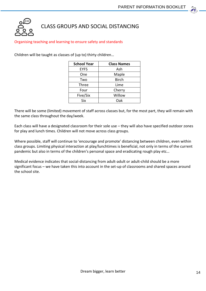

#### CLASS GROUPS AND SOCIAL DISTANCING

#### Organising teaching and learning to ensure safety and standards

Children will be taught as classes of (up to) thirty children…

| <b>School Year</b> | <b>Class Names</b> |
|--------------------|--------------------|
| <b>EYFS</b>        | Ash                |
| One                | Maple              |
| Two                | <b>Birch</b>       |
| Three              | Lime               |
| Four               | Cherry             |
| Five/Six           | Willow             |
| Six                | Oak                |

There will be some (limited) movement of staff across classes but, for the most part, they will remain with the same class throughout the day/week.

Each class will have a designated classroom for their sole use – they will also have specified outdoor zones for play and lunch times. Children will not move across class groups.

Where possible, staff will continue to 'encourage and promote' distancing between children, even within class groups. Limiting physical interaction at play/lunchtimes is beneficial, not only in terms of the current pandemic but also in terms of the children's personal space and eradicating rough play etc…

Medical evidence indicates that social-distancing from adult-adult or adult-child should be a more significant focus – we have taken this into account in the set-up of classrooms and shared spaces around the school site.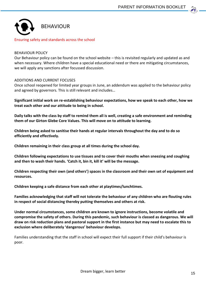

#### BEHAVIOUR POLICY

Our Behaviour policy can be found on the school website – this is revisited regularly and updated as and when necessary. Where children have a special educational need or there are mitigating circumstances, we will apply any sanctions after focussed discussion.

#### ADDITIONS AND CURRENT FOCUSES

Once school reopened for limited year groups in June, an addendum was applied to the behaviour policy and agreed by governors. This is still relevant and includes…

**Significant initial work on re-establishing behaviour expectations, how we speak to each other, how we treat each other and our attitude to being in school.**

**Daily talks with the class by staff to remind them all is well, creating a safe environment and reminding them of our Girton Glebe Core Values. This will move on to attitude to learning.**

**Children being asked to sanitise their hands at regular intervals throughout the day and to do so efficiently and effectively.**

**Children remaining in their class group at all times during the school day.**

**Children following expectations to use tissues and to cover their mouths when sneezing and coughing and then to wash their hands. 'Catch it, bin it, kill it' will be the message.**

**Children respecting their own (and others') spaces in the classroom and their own set of equipment and resources.**

**Children keeping a safe distance from each other at playtimes/lunchtimes.**

**Families acknowledging that staff will not tolerate the behaviour of any children who are flouting rules in respect of social distancing thereby putting themselves and others at risk.** 

**Under normal circumstances, some children are known to ignore instructions, become volatile and compromise the safety of others. During this pandemic, such behaviour is classed as dangerous. We will draw on risk reduction plans and pastoral support in the first instance but may need to escalate this to exclusion where deliberately 'dangerous' behaviour develops.**

Families understanding that the staff in school will expect their full support if their child's behaviour is poor.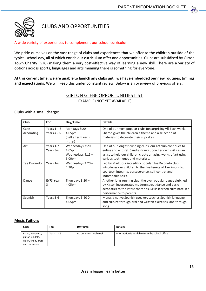

CLUBS AND OPPORTUNITIES

#### A wide variety of experiences to complement our school curriculum

We pride ourselves on the vast range of clubs and experiences that we offer to the children outside of the typical school day, all of which enrich our curriculum offer and opportunities. Clubs are subsidised by Girton Town Charity (GTC) making them a very cost-effective way of learning a new skill. There are a variety of options across sports, languages and arts meaning there is something for everyone.

**At this current time, we are unable to launch any clubs until we have embedded our new routines, timings and expectations**. We will keep this under constant review. Below is an overview of previous offers.

#### GIRTON GLEBE OPPORTUNITIES LIST EXAMPLE (NOT YET AVAILABLE)

#### **Clubs with a small charge:**

| Club:              | For:                           | Day/Time:                                                      | <b>Details:</b>                                                                                                                                                                                                                 |
|--------------------|--------------------------------|----------------------------------------------------------------|---------------------------------------------------------------------------------------------------------------------------------------------------------------------------------------------------------------------------------|
|                    |                                |                                                                |                                                                                                                                                                                                                                 |
| Cake<br>decorating | Years $1 - 3$<br>Years $4 - 6$ | Mondays $3:20 -$<br>4:05pm<br>(half a term each<br>group)      | One of our most popular clubs (unsurprisingly!) Each week,<br>Sharon gives the children a theme and a selection of<br>materials to decorate their cupcakes.                                                                     |
| Art                | Years 1-2<br>Years 3-6         | Wednesdays $3:20 -$<br>4:05pm<br>Wednesdays $4.15 -$<br>5.00pm | One of our longest-running clubs, our art club continues to<br>entice and enthral. Sandra draws upon her own skills as an<br>artist to help our children create amazing works of art using<br>various techniques and materials. |
| Tae Kwon-do        | Years 1-6                      | Wednesdays $3:20 -$<br>4:30pm                                  | Led by Mark, our incredibly popular Tae Kwon-do club<br>introduces our children to the five tenets of Tae Kwon-do:<br>courtesy, integrity, perseverance, self-control and<br>indomitable spirit.                                |
| Dance              | EYFS-Year<br>3                 | Thursdays $3.20 -$<br>4.05pm                                   | Another long-running club, the ever-popular dance club, led<br>by Kirsty, incorporates modern/street dance and basic<br>acrobatics to the latest chart hits. Skills learned culminate in a<br>performance to parents.           |
| Spanish            | Years 3-6                      | Thursdays 3:200<br>4:05pm                                      | Mona, a native Spanish speaker, teaches Spanish language<br>and culture through oral and written exercises, and through<br>song.                                                                                                |

#### **Music Tuition:**

| Club:                                                                         | For:          | Day/Time:              | Details:                                        |
|-------------------------------------------------------------------------------|---------------|------------------------|-------------------------------------------------|
| Piano, keyboard,<br>guitar, ukulele,<br>violin, choir, brass<br>and orchestra | Years $1 - 6$ | Across the school week | Information is available from the school office |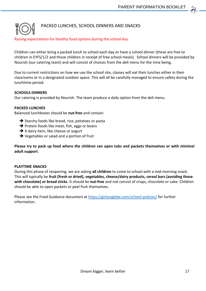# PACKED LUNCHES, SCHOOL DINNERS AND SNACKS

#### Raising expectations for healthy food options during the school day

Children can either bring a packed lunch to school each day or have a school dinner (these are free to children in EYFS/1/2 and those children in receipt of free school meals). School dinners will be provided by Nourish (our catering team) and will consist of choices from the deli menu for the time being.

Due to current restrictions on how we use the school site, classes will eat their lunches either in their classrooms or in a designated outdoor space. This will all be carefully managed to ensure safety during the lunchtime period.

#### **SCHOOLS DINNERS**

Our catering is provided by Nourish. The team produce a daily option from the deli menu.

#### **PACKED LUNCHES**

Balanced lunchboxes should be **nut-free** and contain:

- $\rightarrow$  Starchy foods like bread, rice, potatoes or pasta
- $\rightarrow$  Protein foods like meat, fish, eggs or beans
- $\rightarrow$  A dairy item, like cheese or yogurt
- **→** Vegetables or salad and a portion of fruit

**Please try to pack up food where the children can open tubs and packets themselves or with minimal adult support**.

#### **PLAYTIME SNACKS**

During this phase of reopening, we are asking **all children** to come to school with a mid-morning snack. This will typically be **fruit (fresh or dried), vegetables, cheese/dairy products, cereal bars (avoiding those with chocolate) or bread sticks.** It should be **nut-free** and not consist of crisps, chocolate or cake. Children should be able to open packets or peel fruit themselves.

Please see the Food Guidance document at<https://girtonglebe.com/school-policies/> for further information.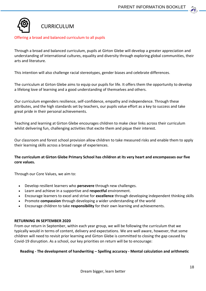

#### Offering a broad and balanced curriculum to all pupils

Through a broad and balanced curriculum, pupils at Girton Glebe will develop a greater appreciation and understanding of international cultures, equality and diversity through exploring global communities, their arts and literature.

This intention will also challenge racial stereotypes, gender biases and celebrate differences.

The curriculum at Girton Glebe aims to equip our pupils for life. It offers them the opportunity to develop a lifelong love of learning and a good understanding of themselves and others.

Our curriculum engenders resilience, self-confidence, empathy and independence. Through these attributes, and the high standards set by teachers, our pupils value effort as a key to success and take great pride in their personal achievements.

Teaching and learning at Girton Glebe encourages children to make clear links across their curriculum whilst delivering fun, challenging activities that excite them and pique their interest.

Our classroom and forest school provision allow children to take measured risks and enable them to apply their learning skills across a broad range of experiences.

#### **The curriculum at Girton Glebe Primary School has children at its very heart and encompasses our five core values.**

Through our Core Values, we aim to:

- Develop resilient learners who **persevere** through new challenges.
- Learn and achieve in a supportive and **respectful** environment.
- Encourage learners to excel and strive for **excellence** through developing independent thinking skills
- Promote **compassion** through developing a wider understanding of the world
- Encourage children to take **responsibility** for their own learning and achievements.

#### **RETURNING IN SEPTEMBER 2020**

From our return in September, within each year group, we will be following the curriculum that we typically would in terms of content, delivery and expectations. We are well aware, however, that some children will need to revisit prior learning and Girton Glebe is committed to closing the gap caused by Covid-19 disruption. As a school, our key priorities on return will be to encourage:

#### **Reading - The development of handwriting – Spelling accuracy - Mental calculation and arithmetic**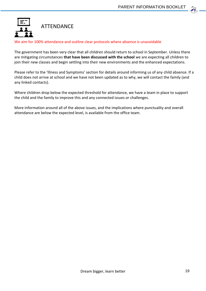

#### We aim for 100% attendance and outline clear protocols where absence is unavoidable

The government has been very clear that all children should return to school in September. Unless there are mitigating circumstances **that have been discussed with the school** we are expecting all children to join their new classes and begin settling into their new environments and the enhanced expectations.

Please refer to the 'Illness and Symptoms' section for details around informing us of any child absence. If a child does not arrive at school and we have not been updated as to why, we will contact the family (and any linked contacts).

Where children drop below the expected threshold for attendance, we have a team in place to support the child and the family to improve this and any connected issues or challenges.

More information around all of the above issues, and the implications where punctuality and overall attendance are below the expected level, is available from the office team.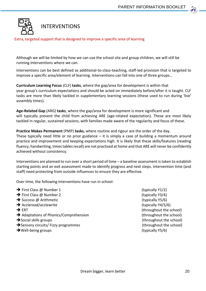

Extra, targeted support that is designed to improve a specific area of learning

Although we will be limited by how we can use the school site and group children, we will still be running interventions where we can.

Interventions can be best defined as additional-to-class-teaching, staff-led provision that is targeted to improve a specific area/element of learning. Interventions can fall into one of three groups…

**Curriculum Learning Focus** (CLF) **tasks**, where the gap/area for development is within that year group's curriculum expectations and should be acted on immediately before/after it is taught. CLF tasks are more than likely tackled in supplementary learning sessions (these used to run during 'live' assembly times).

**Age-Related Gap** (ARG) **tasks**, where the gap/area for development is more significant and will typically prevent the child from achieving ARE (age-related expectation). These are most likely tackled in regular, sustained sessions, with families made aware of the regularity and focus of these.

**Practice Makes Permanent** (PMP) **tasks,** where routine and rigour are the order of the day. These typically need little or no prior guidance  $-$  it is simply a case of building a momentum around practice and improvement and keeping expectations high. It is likely that these skills/features (reading fluency, handwriting, times tables recall) are not practised at home and that ARE will never be confidently achieved without consistency.

Interventions are planned to run over a short period of time – a baseline assessment is taken to establish starting points and an exit assessment made to identify progress and next steps. Intervention time (and staff) need protecting from outside influences to ensure they are effective.

Over time, the following interventions have run in school:

- $\rightarrow$  First Class @ Number 1 (typically Y1/2) → First Class @ Number 2 (typically Y3/4)  $\rightarrow$  Success @ Arithmetic (typically Y5/6) → Accleread/acclewrite (typically Y4/5/6)  $\rightarrow$  ERT  $\rightarrow$  ERT Adaptations of Phonics/Comprehension (throughout the school) Social skills groups (throughout the school) Sensory circuits/ Fizzy programmes (throughout the school) → Well-being groups (typically Y5/6)
-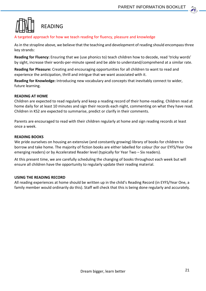# READING

A targeted approach for how we teach reading for fluency, pleasure and knowledge

As in the strapline above, we believe that the teaching and development of reading should encompass three key strands:

**Reading for Fluency:** Ensuring that we (use phonics to) teach children how to decode, read 'tricky words' by sight, increase their words-per-minute speed and be able to understand/comprehend at a similar rate.

**Reading for Pleasure:** Creating and encouraging opportunities for all children to want to read and experience the anticipation, thrill and intrigue that we want associated with it.

**Reading for Knowledge:** Introducing new vocabulary and concepts that inevitably connect to wider, future learning.

#### **READING AT HOME**

Children are expected to read regularly and keep a reading record of their home-reading. Children read at home daily for at least 10 minutes and sign their records each night, commenting on what they have read. Children in KS2 are expected to summarise, predict or clarify in their comments.

Parents are encouraged to read with their children regularly at home and sign reading records at least once a week.

#### **READING BOOKS**

We pride ourselves on housing an extensive (and constantly growing) library of books for children to borrow and take home. The majority of fiction books are either labelled for colour (for our EYFS/Year One emerging readers) or by Accelerated Reader level (typically for Year Two – Six readers).

At this present time, we are carefully scheduling the changing of books throughout each week but will ensure all children have the opportunity to regularly update their reading material.

#### **USING THE READING RECORD**

All reading experiences at home should be written up in the child's Reading Record (in EYFS/Year One, a family member would ordinarily do this). Staff will check that this is being done regularly and accurately.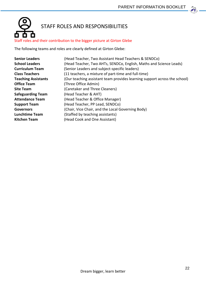$22$ 



#### Staff roles and their contribution to the bigger picture at Girton Glebe

The following teams and roles are clearly defined at Girton Glebe:

| <b>Senior Leaders</b>      | (Head Teacher, Two Assistant Head Teachers & SENDCo)                      |
|----------------------------|---------------------------------------------------------------------------|
| <b>School Leaders</b>      | (Head Teacher, Two AHTs, SENDCo, English, Maths and Science Leads)        |
| <b>Curriculum Team</b>     | (Senior Leaders and subject-specific leaders)                             |
| <b>Class Teachers</b>      | (11 teachers, a mixture of part-time and full-time)                       |
| <b>Teaching Assistants</b> | (Our teaching assistant team provides learning support across the school) |
| <b>Office Team</b>         | (Three Office Admin)                                                      |
| <b>Site Team</b>           | (Caretaker and Three Cleaners)                                            |
| <b>Safeguarding Team</b>   | (Head Teacher & AHT)                                                      |
| <b>Attendance Team</b>     | (Head Teacher & Office Manager)                                           |
| <b>Support Team</b>        | (Head Teacher, PP Lead, SENDCo)                                           |
| <b>Governors</b>           | (Chair, Vice Chair, and the Local Governing Body)                         |
| <b>Lunchtime Team</b>      | (Staffed by teaching assistants)                                          |
| <b>Kitchen Team</b>        | (Head Cook and One Assistant)                                             |
|                            |                                                                           |